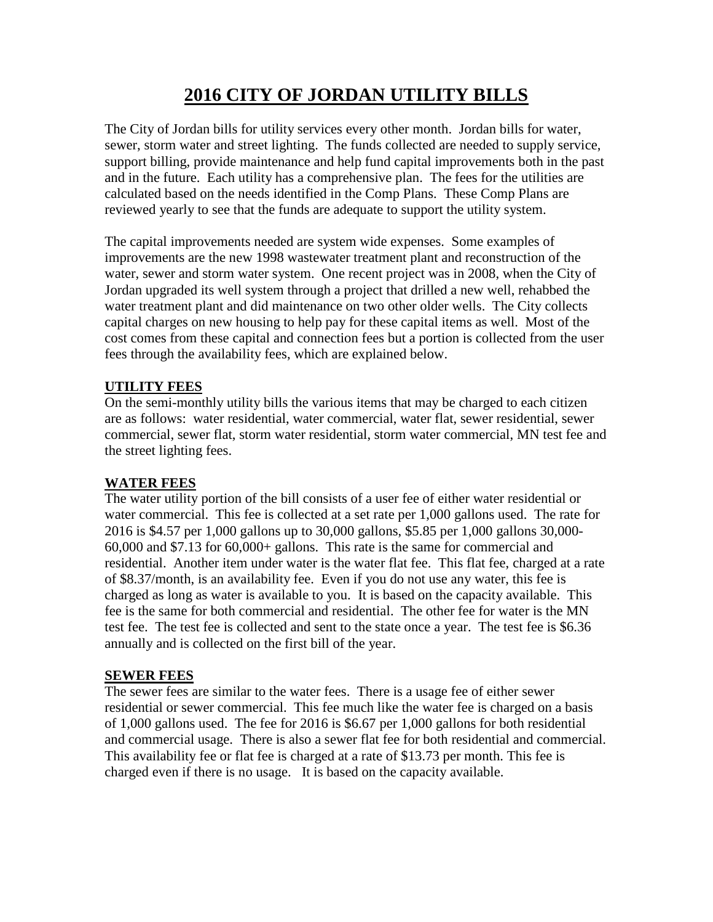# **2016 CITY OF JORDAN UTILITY BILLS**

The City of Jordan bills for utility services every other month. Jordan bills for water, sewer, storm water and street lighting. The funds collected are needed to supply service, support billing, provide maintenance and help fund capital improvements both in the past and in the future. Each utility has a comprehensive plan. The fees for the utilities are calculated based on the needs identified in the Comp Plans. These Comp Plans are reviewed yearly to see that the funds are adequate to support the utility system.

The capital improvements needed are system wide expenses. Some examples of improvements are the new 1998 wastewater treatment plant and reconstruction of the water, sewer and storm water system. One recent project was in 2008, when the City of Jordan upgraded its well system through a project that drilled a new well, rehabbed the water treatment plant and did maintenance on two other older wells. The City collects capital charges on new housing to help pay for these capital items as well. Most of the cost comes from these capital and connection fees but a portion is collected from the user fees through the availability fees, which are explained below.

# **UTILITY FEES**

On the semi-monthly utility bills the various items that may be charged to each citizen are as follows: water residential, water commercial, water flat, sewer residential, sewer commercial, sewer flat, storm water residential, storm water commercial, MN test fee and the street lighting fees.

# **WATER FEES**

The water utility portion of the bill consists of a user fee of either water residential or water commercial. This fee is collected at a set rate per 1,000 gallons used. The rate for 2016 is \$4.57 per 1,000 gallons up to 30,000 gallons, \$5.85 per 1,000 gallons 30,000- 60,000 and \$7.13 for 60,000+ gallons. This rate is the same for commercial and residential. Another item under water is the water flat fee. This flat fee, charged at a rate of \$8.37/month, is an availability fee. Even if you do not use any water, this fee is charged as long as water is available to you. It is based on the capacity available. This fee is the same for both commercial and residential. The other fee for water is the MN test fee. The test fee is collected and sent to the state once a year. The test fee is \$6.36 annually and is collected on the first bill of the year.

# **SEWER FEES**

The sewer fees are similar to the water fees. There is a usage fee of either sewer residential or sewer commercial. This fee much like the water fee is charged on a basis of 1,000 gallons used. The fee for 2016 is \$6.67 per 1,000 gallons for both residential and commercial usage. There is also a sewer flat fee for both residential and commercial. This availability fee or flat fee is charged at a rate of \$13.73 per month. This fee is charged even if there is no usage. It is based on the capacity available.